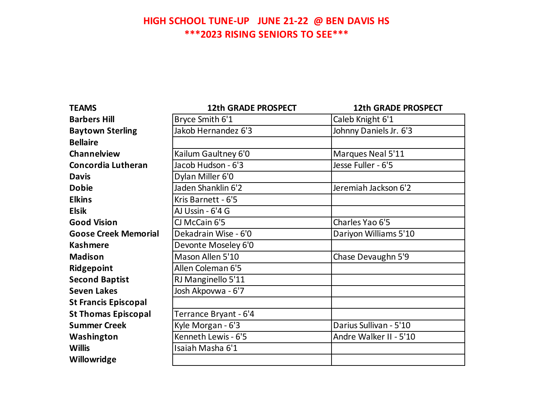## **HIGH SCHOOL TUNE-UP JUNE 21-22 @ BEN DAVIS HS \*\*\*2023 RISING SENIORS TO SEE\*\*\***

| <b>TEAMS</b>                | <b>12th GRADE PROSPECT</b> | <b>12th GRADE PROSPECT</b> |
|-----------------------------|----------------------------|----------------------------|
| <b>Barbers Hill</b>         | Bryce Smith 6'1            | Caleb Knight 6'1           |
| <b>Baytown Sterling</b>     | Jakob Hernandez 6'3        | Johnny Daniels Jr. 6'3     |
| <b>Bellaire</b>             |                            |                            |
| Channelview                 | Kailum Gaultney 6'0        | Marques Neal 5'11          |
| <b>Concordia Lutheran</b>   | Jacob Hudson - 6'3         | Jesse Fuller - 6'5         |
| <b>Davis</b>                | Dylan Miller 6'0           |                            |
| <b>Dobie</b>                | Jaden Shanklin 6'2         | Jeremiah Jackson 6'2       |
| <b>Elkins</b>               | Kris Barnett - 6'5         |                            |
| <b>Elsik</b>                | AJ Ussin - 6'4 G           |                            |
| <b>Good Vision</b>          | CJ McCain 6'5              | Charles Yao 6'5            |
| <b>Goose Creek Memorial</b> | Dekadrain Wise - 6'0       | Dariyon Williams 5'10      |
| <b>Kashmere</b>             | Devonte Moseley 6'0        |                            |
| <b>Madison</b>              | Mason Allen 5'10           | Chase Devaughn 5'9         |
| Ridgepoint                  | Allen Coleman 6'5          |                            |
| <b>Second Baptist</b>       | RJ Manginello 5'11         |                            |
| <b>Seven Lakes</b>          | Josh Akpovwa - 6'7         |                            |
| <b>St Francis Episcopal</b> |                            |                            |
| <b>St Thomas Episcopal</b>  | Terrance Bryant - 6'4      |                            |
| <b>Summer Creek</b>         | Kyle Morgan - 6'3          | Darius Sullivan - 5'10     |
| Washington                  | Kenneth Lewis - 6'5        | Andre Walker II - 5'10     |
| <b>Willis</b>               | Isaiah Masha 6'1           |                            |
| Willowridge                 |                            |                            |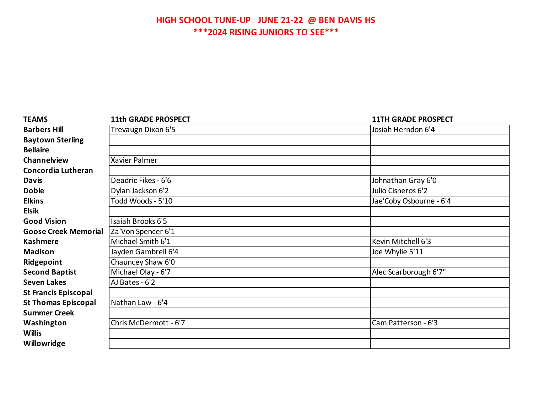## **HIGH SCHOOL TUNE-UP JUNE 21-22 @ BEN DAVIS HS \*\*\*2024 RISING JUNIORS TO SEE\*\*\***

| <b>TEAMS</b>                | <b>11th GRADE PROSPECT</b> | <b>11TH GRADE PROSPECT</b> |
|-----------------------------|----------------------------|----------------------------|
| <b>Barbers Hill</b>         | Trevaugn Dixon 6'5         | Josiah Herndon 6'4         |
| <b>Baytown Sterling</b>     |                            |                            |
| <b>Bellaire</b>             |                            |                            |
| Channelview                 | Xavier Palmer              |                            |
| Concordia Lutheran          |                            |                            |
| <b>Davis</b>                | Deadric Fikes - 6'6        | Johnathan Gray 6'0         |
| <b>Dobie</b>                | Dylan Jackson 6'2          | Julio Cisneros 6'2         |
| <b>Elkins</b>               | Todd Woods - 5'10          | Jae'Coby Osbourne - 6'4    |
| <b>Elsik</b>                |                            |                            |
| <b>Good Vision</b>          | Isaiah Brooks 6'5          |                            |
| <b>Goose Creek Memorial</b> | Za'Von Spencer 6'1         |                            |
| <b>Kashmere</b>             | Michael Smith 6'1          | Kevin Mitchell 6'3         |
| <b>Madison</b>              | Jayden Gambrell 6'4        | Joe Whylie 5'11            |
| Ridgepoint                  | Chauncey Shaw 6'0          |                            |
| <b>Second Baptist</b>       | Michael Olay - 6'7         | Alec Scarborough 6'7"      |
| <b>Seven Lakes</b>          | AJ Bates - 6'2             |                            |
| <b>St Francis Episcopal</b> |                            |                            |
| <b>St Thomas Episcopal</b>  | Nathan Law - 6'4           |                            |
| <b>Summer Creek</b>         |                            |                            |
| Washington                  | Chris McDermott - 6'7      | Cam Patterson - 6'3        |
| <b>Willis</b>               |                            |                            |
| Willowridge                 |                            |                            |